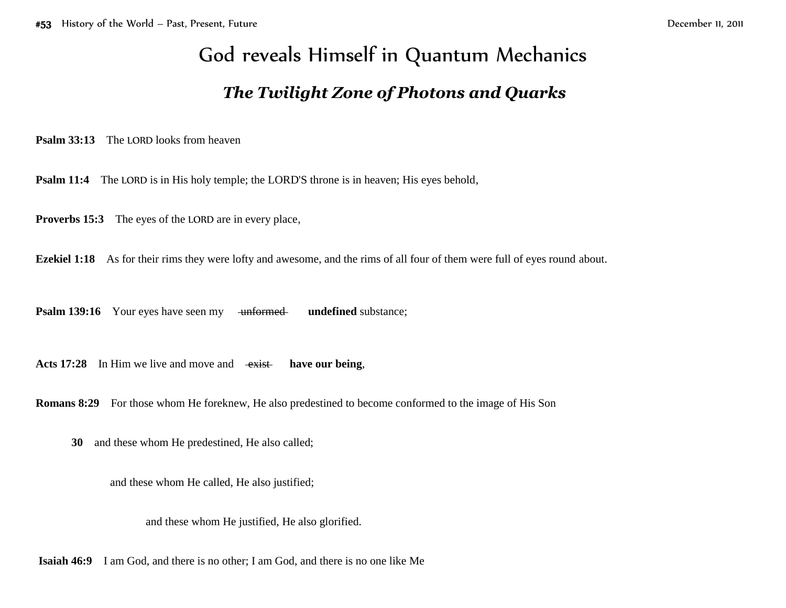## God reveals Himself in Quantum Mechanics

## *The Twilight Zone of Photons and Quarks*

**Psalm 33:13** The LORD looks from heaven

**Psalm 11:4** The LORD is in His holy temple; the LORD'S throne is in heaven; His eyes behold,

**Proverbs 15:3** The eyes of the LORD are in every place,

**Ezekiel 1:18** As for their rims they were lofty and awesome, and the rims of all four of them were full of eyes round about.

**Psalm 139:16** Your eyes have seen my unformed undefined substance;

Acts 17:28 In Him we live and move and  $\overrightarrow{exist}$  have our being,

**Romans 8:29** For those whom He foreknew, He also predestined to become conformed to the image of His Son

**30** and these whom He predestined, He also called;

and these whom He called, He also justified;

and these whom He justified, He also glorified.

**Isaiah 46:9** I am God, and there is no other; I am God, and there is no one like Me